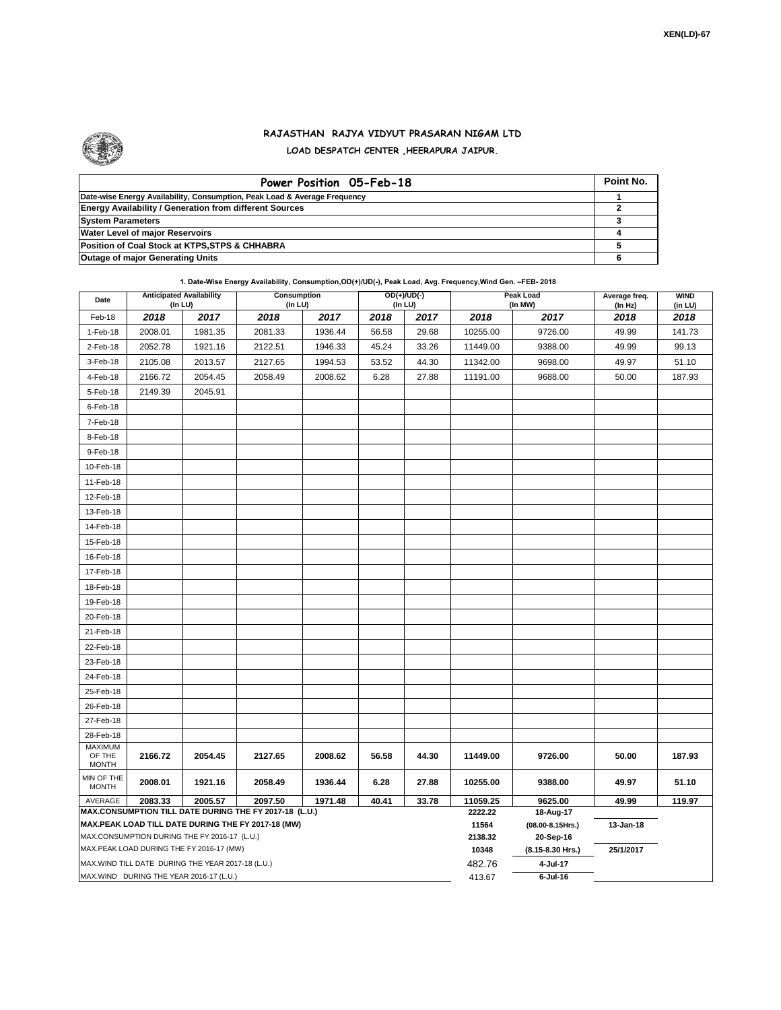

## **RAJASTHAN RAJYA VIDYUT PRASARAN NIGAM LTD LOAD DESPATCH CENTER ,HEERAPURA JAIPUR.**

| Power Position 05-Feb-18                                                  | Point No. |
|---------------------------------------------------------------------------|-----------|
| Date-wise Energy Availability, Consumption, Peak Load & Average Frequency |           |
| <b>Energy Availability / Generation from different Sources</b>            |           |
| <b>System Parameters</b>                                                  |           |
| <b>Water Level of major Reservoirs</b>                                    |           |
| Position of Coal Stock at KTPS, STPS & CHHABRA                            |           |
| <b>Outage of major Generating Units</b>                                   |           |

**1. Date-Wise Energy Availability, Consumption,OD(+)/UD(-), Peak Load, Avg. Frequency,Wind Gen. –FEB- 2018**

| Date                                                                                               | <b>Anticipated Availability</b><br>$($ In LU $)$ |         | Consumption<br>(In LU) |         |       | OD(+)/UD(-)<br>(In LU) | Peak Load<br>(In MW) |                               | Average freq.<br>(In Hz) | <b>WIND</b><br>(in LU) |
|----------------------------------------------------------------------------------------------------|--------------------------------------------------|---------|------------------------|---------|-------|------------------------|----------------------|-------------------------------|--------------------------|------------------------|
| Feb-18                                                                                             | 2018                                             | 2017    | 2018                   | 2017    | 2018  | 2017                   | 2018                 | 2017                          | 2018                     | 2018                   |
| 1-Feb-18                                                                                           | 2008.01                                          | 1981.35 | 2081.33                | 1936.44 | 56.58 | 29.68                  | 10255.00             | 9726.00                       | 49.99                    | 141.73                 |
| 2-Feb-18                                                                                           | 2052.78                                          | 1921.16 | 2122.51                | 1946.33 | 45.24 | 33.26                  | 11449.00             | 9388.00                       | 49.99                    | 99.13                  |
| 3-Feb-18                                                                                           | 2105.08                                          | 2013.57 | 2127.65                | 1994.53 | 53.52 | 44.30                  | 11342.00             | 9698.00                       | 49.97                    | 51.10                  |
| 4-Feb-18                                                                                           | 2166.72                                          | 2054.45 | 2058.49                | 2008.62 | 6.28  | 27.88                  | 11191.00             | 9688.00                       | 50.00                    | 187.93                 |
| 5-Feb-18                                                                                           | 2149.39                                          | 2045.91 |                        |         |       |                        |                      |                               |                          |                        |
| $6$ -Feb-18                                                                                        |                                                  |         |                        |         |       |                        |                      |                               |                          |                        |
| 7-Feb-18                                                                                           |                                                  |         |                        |         |       |                        |                      |                               |                          |                        |
| 8-Feb-18                                                                                           |                                                  |         |                        |         |       |                        |                      |                               |                          |                        |
| 9-Feb-18                                                                                           |                                                  |         |                        |         |       |                        |                      |                               |                          |                        |
| 10-Feb-18                                                                                          |                                                  |         |                        |         |       |                        |                      |                               |                          |                        |
| 11-Feb-18                                                                                          |                                                  |         |                        |         |       |                        |                      |                               |                          |                        |
| 12-Feb-18                                                                                          |                                                  |         |                        |         |       |                        |                      |                               |                          |                        |
| 13-Feb-18                                                                                          |                                                  |         |                        |         |       |                        |                      |                               |                          |                        |
| 14-Feb-18                                                                                          |                                                  |         |                        |         |       |                        |                      |                               |                          |                        |
| 15-Feb-18                                                                                          |                                                  |         |                        |         |       |                        |                      |                               |                          |                        |
| 16-Feb-18                                                                                          |                                                  |         |                        |         |       |                        |                      |                               |                          |                        |
| 17-Feb-18                                                                                          |                                                  |         |                        |         |       |                        |                      |                               |                          |                        |
| 18-Feb-18                                                                                          |                                                  |         |                        |         |       |                        |                      |                               |                          |                        |
| 19-Feb-18                                                                                          |                                                  |         |                        |         |       |                        |                      |                               |                          |                        |
| 20-Feb-18                                                                                          |                                                  |         |                        |         |       |                        |                      |                               |                          |                        |
| 21-Feb-18                                                                                          |                                                  |         |                        |         |       |                        |                      |                               |                          |                        |
| 22-Feb-18                                                                                          |                                                  |         |                        |         |       |                        |                      |                               |                          |                        |
| 23-Feb-18                                                                                          |                                                  |         |                        |         |       |                        |                      |                               |                          |                        |
| 24-Feb-18                                                                                          |                                                  |         |                        |         |       |                        |                      |                               |                          |                        |
| 25-Feb-18                                                                                          |                                                  |         |                        |         |       |                        |                      |                               |                          |                        |
| 26-Feb-18                                                                                          |                                                  |         |                        |         |       |                        |                      |                               |                          |                        |
| 27-Feb-18                                                                                          |                                                  |         |                        |         |       |                        |                      |                               |                          |                        |
| 28-Feb-18                                                                                          |                                                  |         |                        |         |       |                        |                      |                               |                          |                        |
| <b>MAXIMUM</b><br>OF THE<br><b>MONTH</b>                                                           | 2166.72                                          | 2054.45 | 2127.65                | 2008.62 | 56.58 | 44.30                  | 11449.00             | 9726.00                       | 50.00                    | 187.93                 |
| MIN OF THE<br><b>MONTH</b>                                                                         | 2008.01                                          | 1921.16 | 2058.49                | 1936.44 | 6.28  | 27.88                  | 10255.00             | 9388.00                       | 49.97                    | 51.10                  |
| AVERAGE                                                                                            | 2083.33                                          | 2005.57 | 2097.50                | 1971.48 | 40.41 | 33.78                  | 11059.25             | 9625.00                       | 49.99                    | 119.97                 |
| MAX.CONSUMPTION TILL DATE DURING THE FY 2017-18 (L.U.)                                             |                                                  |         |                        |         |       |                        | 2222.22              | 18-Aug-17                     |                          |                        |
| MAX.PEAK LOAD TILL DATE DURING THE FY 2017-18 (MW)<br>MAX.CONSUMPTION DURING THE FY 2016-17 (L.U.) |                                                  |         |                        |         |       |                        | 11564<br>2138.32     | (08.00-8.15Hrs.)<br>20-Sep-16 | 13-Jan-18                |                        |
| MAX.PEAK LOAD DURING THE FY 2016-17 (MW)                                                           |                                                  |         |                        |         |       |                        | 10348                | (8.15-8.30 Hrs.)              | 25/1/2017                |                        |
| MAX. WIND TILL DATE DURING THE YEAR 2017-18 (L.U.)                                                 |                                                  |         |                        |         |       |                        | 482.76               | 4-Jul-17                      |                          |                        |
| MAX.WIND DURING THE YEAR 2016-17 (L.U.)                                                            |                                                  |         |                        |         |       |                        | 413.67               | $6$ -Jul-16                   |                          |                        |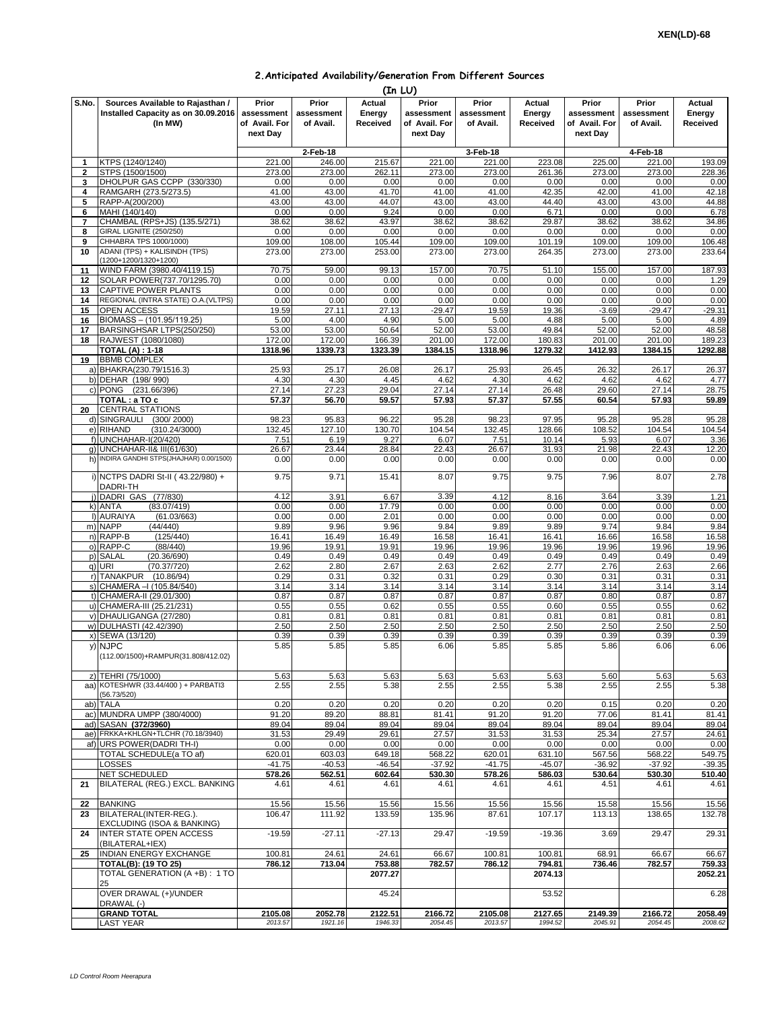| 2. Anticipated Availability/Generation From Different Sources |  |  |  |  |  |
|---------------------------------------------------------------|--|--|--|--|--|
|---------------------------------------------------------------|--|--|--|--|--|

|                | (In LU)                                                         |                           |                    |                    |                           |                         |                    |                           |                    |                    |  |
|----------------|-----------------------------------------------------------------|---------------------------|--------------------|--------------------|---------------------------|-------------------------|--------------------|---------------------------|--------------------|--------------------|--|
| S.No.          | Sources Available to Rajasthan /                                | Prior                     | Prior              | Actual             | Prior                     | Prior                   | Actual             | Prior                     | Prior              | Actual             |  |
|                | Installed Capacity as on 30.09.2016                             | assessment                | assessment         | Energy             | assessment                | assessment<br>of Avail. | Energy             | assessment                | assessment         | Energy<br>Received |  |
|                | (In MW)                                                         | of Avail. For<br>next Day | of Avail.          | Received           | of Avail. For<br>next Day |                         | Received           | of Avail. For<br>next Day | of Avail.          |                    |  |
|                |                                                                 |                           |                    |                    |                           |                         |                    |                           |                    |                    |  |
| 1              | KTPS (1240/1240)                                                | 221.00                    | 2-Feb-18<br>246.00 | 215.67             | 221.00                    | 3-Feb-18<br>221.00      | 223.08             | 225.00                    | 4-Feb-18<br>221.00 | 193.09             |  |
| $\mathbf 2$    | STPS (1500/1500)                                                | 273.00                    | 273.00             | 262.11             | 273.00                    | 273.00                  | 261.36             | 273.00                    | 273.00             | 228.36             |  |
| 3              | DHOLPUR GAS CCPP (330/330)                                      | 0.00                      | 0.00               | 0.00               | 0.00                      | 0.00                    | 0.00               | 0.00                      | 0.00               | 0.00               |  |
| 4              | RAMGARH (273.5/273.5)                                           | 41.00                     | 43.00              | 41.70              | 41.00                     | 41.00                   | 42.35              | 42.00                     | 41.00              | 42.18              |  |
| 5<br>6         | RAPP-A(200/200)<br>MAHI (140/140)                               | 43.00<br>0.00             | 43.00<br>0.00      | 44.07<br>9.24      | 43.00<br>0.00             | 43.00<br>0.00           | 44.40<br>6.71      | 43.00<br>0.00             | 43.00<br>0.00      | 44.88<br>6.78      |  |
| $\overline{7}$ | CHAMBAL (RPS+JS) (135.5/271)                                    | 38.62                     | 38.62              | 43.97              | 38.62                     | 38.62                   | 29.87              | 38.62                     | 38.62              | 34.86              |  |
| 8              | <b>GIRAL LIGNITE (250/250)</b>                                  | 0.00                      | 0.00               | 0.00               | 0.00                      | 0.00                    | 0.00               | 0.00                      | 0.00               | 0.00               |  |
| 9<br>10        | CHHABRA TPS 1000/1000)<br>ADANI (TPS) + KALISINDH (TPS)         | 109.00<br>273.00          | 108.00<br>273.00   | 105.44<br>253.00   | 109.00<br>273.00          | 109.00<br>273.00        | 101.19<br>264.35   | 109.00<br>273.00          | 109.00<br>273.00   | 106.48<br>233.64   |  |
|                | (1200+1200/1320+1200)                                           |                           |                    |                    |                           |                         |                    |                           |                    |                    |  |
| 11             | WIND FARM (3980.40/4119.15)                                     | 70.75                     | 59.00              | 99.13              | 157.00                    | 70.75                   | 51.10              | 155.00                    | 157.00             | 187.93             |  |
| 12<br>13       | SOLAR POWER(737.70/1295.70)<br>CAPTIVE POWER PLANTS             | 0.00<br>0.00              | 0.00<br>0.00       | 0.00<br>0.00       | 0.00<br>0.00              | 0.00<br>0.00            | 0.00<br>0.00       | 0.00<br>0.00              | 0.00<br>0.00       | 1.29<br>0.00       |  |
| 14             | REGIONAL (INTRA STATE) O.A. (VLTPS)                             | 0.00                      | 0.00               | 0.00               | 0.00                      | 0.00                    | 0.00               | 0.00                      | 0.00               | 0.00               |  |
| 15             | OPEN ACCESS                                                     | 19.59                     | 27.11              | 27.13              | $-29.47$                  | 19.59                   | 19.36              | $-3.69$                   | $-29.47$           | $-29.31$           |  |
| 16             | BIOMASS - (101.95/119.25)                                       | 5.00                      | 4.00               | 4.90               | 5.00                      | 5.00                    | 4.88               | 5.00                      | 5.00               | 4.89               |  |
| 17<br>18       | BARSINGHSAR LTPS(250/250)<br>RAJWEST (1080/1080)                | 53.00<br>172.00           | 53.00<br>172.00    | 50.64<br>166.39    | 52.00<br>201.00           | 53.00<br>172.00         | 49.84<br>180.83    | 52.00<br>201.00           | 52.00<br>201.00    | 48.58<br>189.23    |  |
|                | <b>TOTAL (A): 1-18</b>                                          | 1318.96                   | 1339.73            | 1323.39            | 1384.15                   | 1318.96                 | 1279.32            | 1412.93                   | 1384.15            | 1292.88            |  |
| 19             | <b>BBMB COMPLEX</b>                                             |                           |                    |                    |                           |                         |                    |                           |                    |                    |  |
|                | a) BHAKRA(230.79/1516.3)<br>b) DEHAR (198/990)                  | 25.93<br>4.30             | 25.17<br>4.30      | 26.08<br>4.45      | 26.17<br>4.62             | 25.93<br>4.30           | 26.45<br>4.62      | 26.32<br>4.62             | 26.17<br>4.62      | 26.37<br>4.77      |  |
|                | c) PONG (231.66/396)                                            | 27.14                     | 27.23              | 29.04              | 27.14                     | 27.14                   | 26.48              | 29.60                     | 27.14              | 28.75              |  |
|                | TOTAL : a TO c                                                  | 57.37                     | 56.70              | 59.57              | 57.93                     | 57.37                   | 57.55              | 60.54                     | 57.93              | 59.89              |  |
| 20             | <b>CENTRAL STATIONS</b>                                         |                           |                    |                    |                           |                         |                    |                           |                    |                    |  |
|                | d) SINGRAULI (300/2000)<br>e) RIHAND<br>(310.24/3000)           | 98.23<br>132.45           | 95.83<br>127.10    | 96.22<br>130.70    | 95.28<br>104.54           | 98.23<br>132.45         | 97.95<br>128.66    | 95.28<br>108.52           | 95.28<br>104.54    | 95.28<br>104.54    |  |
|                | f) UNCHAHAR-I(20/420)                                           | 7.51                      | 6.19               | 9.27               | 6.07                      | 7.51                    | 10.14              | 5.93                      | 6.07               | 3.36               |  |
| q)             | <b>UNCHAHAR-II&amp; III(61/630)</b>                             | 26.67                     | 23.44              | 28.84              | 22.43                     | 26.67                   | 31.93              | 21.98                     | 22.43              | 12.20              |  |
|                | h) INDIRA GANDHI STPS(JHAJHAR) 0.00/1500)                       | 0.00                      | 0.00               | 0.00               | 0.00                      | 0.00                    | 0.00               | 0.00                      | 0.00               | 0.00               |  |
|                | i) NCTPS DADRI St-II (43.22/980) +<br>DADRI-TH                  | 9.75                      | 9.71               | 15.41              | 8.07                      | 9.75                    | 9.75               | 7.96                      | 8.07               | 2.78               |  |
|                | j) DADRI GAS (77/830)                                           | 4.12                      | 3.91               | 6.67               | 3.39                      | 4.12                    | 8.16               | 3.64                      | 3.39               | 1.21               |  |
|                | (83.07/419)<br>k) ANTA                                          | 0.00                      | 0.00               | 17.79              | 0.00                      | 0.00                    | 0.00               | 0.00                      | 0.00               | 0.00               |  |
|                | (61.03/663)<br>I) AURAIYA<br>m) NAPP<br>(44/440)                | 0.00<br>9.89              | 0.00<br>9.96       | 2.01<br>9.96       | 0.00<br>9.84              | 0.00<br>9.89            | 0.00<br>9.89       | 0.00<br>9.74              | 0.00<br>9.84       | 0.00<br>9.84       |  |
|                | n) RAPP-B<br>(125/440)                                          | 16.41                     | 16.49              | 16.49              | 16.58                     | 16.41                   | 16.41              | 16.66                     | 16.58              | 16.58              |  |
| O              | RAPP-C<br>(88/440)                                              | 19.96                     | 19.91              | 19.91              | 19.96                     | 19.96                   | 19.96              | 19.96                     | 19.96              | 19.96              |  |
| p)             | <b>SALAL</b><br>(20.36/690)<br>q) URI<br>(70.37/720)            | 0.49<br>2.62              | 0.49<br>2.80       | 0.49<br>2.67       | 0.49<br>2.63              | 0.49<br>2.62            | 0.49<br>2.77       | 0.49<br>2.76              | 0.49<br>2.63       | 0.49<br>2.66       |  |
|                | r) TANAKPUR (10.86/94)                                          | 0.29                      | 0.31               | 0.32               | 0.31                      | 0.29                    | 0.30               | 0.31                      | 0.31               | 0.31               |  |
|                | s) CHAMERA - (105.84/540)                                       | 3.14                      | 3.14               | 3.14               | 3.14                      | 3.14                    | 3.14               | 3.14                      | 3.14               | 3.14               |  |
|                | t) CHAMERA-II (29.01/300)                                       | 0.87                      | 0.87               | 0.87               | 0.87                      | 0.87                    | 0.87               | 0.80                      | 0.87               | 0.87               |  |
|                | u) CHAMERA-III (25.21/231)<br>v) DHAULIGANGA (27/280)           | 0.55<br>0.81              | 0.55<br>0.81       | 0.62<br>0.81       | 0.55<br>0.81              | 0.55<br>0.81            | 0.60<br>0.81       | 0.55<br>0.81              | 0.55<br>0.81       | 0.62<br>0.81       |  |
|                | w) DULHASTI (42.42/390)                                         | 2.50                      | 2.50               | 2.50               | 2.50                      | 2.50                    | 2.50               | 2.50                      | 2.50               | 2.50               |  |
|                | x) SEWA (13/120)                                                | 0.39                      | 0.39               | 0.39               | 0.39                      | 0.39                    | 0.39               | 0.39                      | 0.39               | 0.39               |  |
|                | y) NJPC                                                         | 5.85                      | 5.85               | 5.85               | 6.06                      | 5.85                    | 5.85               | 5.86                      | 6.06               | 6.06               |  |
|                | (112.00/1500)+RAMPUR(31.808/412.02)                             |                           |                    |                    |                           |                         |                    |                           |                    |                    |  |
|                | z) TEHRI (75/1000)                                              | 5.63                      | 5.63               | 5.63               | 5.63                      | 5.63                    | 5.63               | 5.60                      | 5.63               | 5.63               |  |
|                | aa) KOTESHWR (33.44/400) + PARBATI3<br>(56.73/520)              | 2.55                      | 2.55               | 5.38               | 2.55                      | 2.55                    | 5.38               | 2.55                      | 2.55               | 5.38               |  |
|                | ab) TALA                                                        | 0.20                      | 0.20               | 0.20               | 0.20                      | 0.20                    | 0.20               | 0.15                      | 0.20               | 0.20               |  |
|                | ac) MUNDRA UMPP (380/4000)                                      | 91.20                     | 89.20              | 88.81              | 81.41                     | 91.20                   | 91.20              | 77.06                     | 81.41              | 81.41              |  |
|                | ad) SASAN (372/3960)                                            | 89.04                     | 89.04              | 89.04              | 89.04                     | 89.04                   | 89.04              | 89.04                     | 89.04              | 89.04              |  |
|                | ae) FRKKA+KHLGN+TLCHR (70.18/3940)<br>af) URS POWER(DADRI TH-I) | 31.53<br>0.00             | 29.49<br>0.00      | 29.61<br>0.00      | 27.57<br>0.00             | 31.53<br>0.00           | 31.53<br>0.00      | 25.34<br>0.00             | 27.57<br>0.00      | 24.61<br>0.00      |  |
|                | TOTAL SCHEDULE(a TO af)                                         | 620.01                    | 603.03             | 649.18             | 568.22                    | 620.01                  | 631.10             | 567.56                    | 568.22             | 549.75             |  |
|                | LOSSES                                                          | $-41.75$                  | $-40.53$           | $-46.54$           | $-37.92$                  | $-41.75$                | $-45.07$           | $-36.92$                  | $-37.92$           | $-39.35$           |  |
| 21             | NET SCHEDULED<br>BILATERAL (REG.) EXCL. BANKING                 | 578.26<br>4.61            | 562.51<br>4.61     | 602.64<br>4.61     | 530.30<br>4.61            | 578.26<br>4.61          | 586.03<br>4.61     | 530.64<br>4.51            | 530.30<br>4.61     | 510.40<br>4.61     |  |
|                |                                                                 |                           |                    |                    |                           |                         |                    |                           |                    |                    |  |
| 22             | <b>BANKING</b>                                                  | 15.56                     | 15.56              | 15.56              | 15.56                     | 15.56                   | 15.56              | 15.58                     | 15.56              | 15.56              |  |
| 23             | BILATERAL(INTER-REG.).<br>EXCLUDING (ISOA & BANKING)            | 106.47                    | 111.92             | 133.59             | 135.96                    | 87.61                   | 107.17             | 113.13                    | 138.65             | 132.78             |  |
| 24             | INTER STATE OPEN ACCESS<br>(BILATERAL+IEX)                      | $-19.59$                  | $-27.11$           | $-27.13$           | 29.47                     | $-19.59$                | $-19.36$           | 3.69                      | 29.47              | 29.31              |  |
| 25             | INDIAN ENERGY EXCHANGE                                          | 100.81                    | 24.61              | 24.61              | 66.67                     | 100.81                  | 100.81             | 68.91                     | 66.67              | 66.67              |  |
|                | <b>TOTAL(B): (19 TO 25)</b>                                     | 786.12                    | 713.04             | 753.88             | 782.57                    | 786.12                  | 794.81             | 736.46                    | 782.57             | 759.33             |  |
|                | TOTAL GENERATION (A +B) : 1 TO<br>25                            |                           |                    | 2077.27            |                           |                         | 2074.13            |                           |                    | 2052.21            |  |
|                | OVER DRAWAL (+)/UNDER                                           |                           |                    | 45.24              |                           |                         | 53.52              |                           |                    | 6.28               |  |
|                | DRAWAL (-)                                                      |                           |                    |                    |                           |                         |                    |                           |                    |                    |  |
|                | <b>GRAND TOTAL</b><br>LAST YEAR                                 | 2105.08<br>2013.57        | 2052.78<br>1921.16 | 2122.51<br>1946.33 | 2166.72<br>2054.45        | 2105.08<br>2013.57      | 2127.65<br>1994.52 | 2149.39<br>2045.91        | 2166.72<br>2054.45 | 2058.49<br>2008.62 |  |
|                |                                                                 |                           |                    |                    |                           |                         |                    |                           |                    |                    |  |